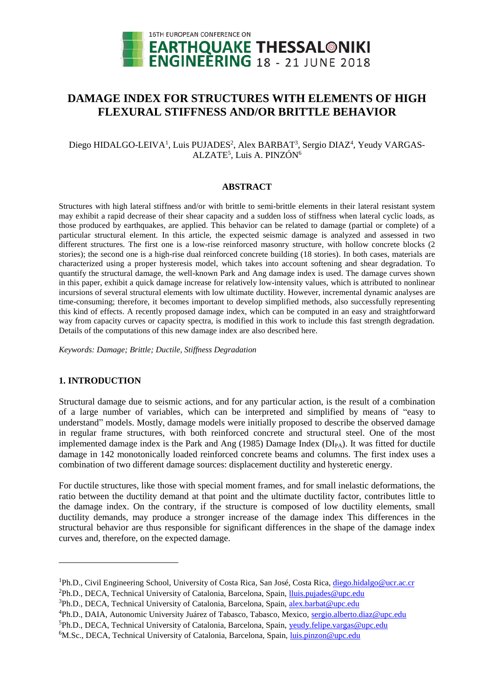

# **DAMAGE INDEX FOR STRUCTURES WITH ELEMENTS OF HIGH FLEXURAL STIFFNESS AND/OR BRITTLE BEHAVIOR**

# Diego HIDALGO-LEIVA<sup>1</sup>, Luis PUJADES<sup>2</sup>, Alex BARBAT<sup>3</sup>, Sergio DIAZ<sup>4</sup>, Yeudy VARGAS-ALZATE<sup>5</sup>, Luis A. PINZÓN<sup>6</sup>

## **ABSTRACT**

Structures with high lateral stiffness and/or with brittle to semi-brittle elements in their lateral resistant system may exhibit a rapid decrease of their shear capacity and a sudden loss of stiffness when lateral cyclic loads, as those produced by earthquakes, are applied. This behavior can be related to damage (partial or complete) of a particular structural element. In this article, the expected seismic damage is analyzed and assessed in two different structures. The first one is a low-rise reinforced masonry structure, with hollow concrete blocks (2 stories); the second one is a high-rise dual reinforced concrete building (18 stories). In both cases, materials are characterized using a proper hysteresis model, which takes into account softening and shear degradation. To quantify the structural damage, the well-known Park and Ang damage index is used. The damage curves shown in this paper, exhibit a quick damage increase for relatively low-intensity values, which is attributed to nonlinear incursions of several structural elements with low ultimate ductility. However, incremental dynamic analyses are time-consuming; therefore, it becomes important to develop simplified methods, also successfully representing this kind of effects. A recently proposed damage index, which can be computed in an easy and straightforward way from capacity curves or capacity spectra, is modified in this work to include this fast strength degradation. Details of the computations of this new damage index are also described here.

*Keywords: Damage; Brittle; Ductile, Stiffness Degradation*

# **1. INTRODUCTION**

l

Structural damage due to seismic actions, and for any particular action, is the result of a combination of a large number of variables, which can be interpreted and simplified by means of "easy to understand" models. Mostly, damage models were initially proposed to describe the observed damage in regular frame structures, with both reinforced concrete and structural steel. One of the most implemented damage index is the Park and Ang (1985) Damage Index ( $DI<sub>PA</sub>$ ). It was fitted for ductile damage in 142 monotonically loaded reinforced concrete beams and columns. The first index uses a combination of two different damage sources: displacement ductility and hysteretic energy.

For ductile structures, like those with special moment frames, and for small inelastic deformations, the ratio between the ductility demand at that point and the ultimate ductility factor, contributes little to the damage index. On the contrary, if the structure is composed of low ductility elements, small ductility demands, may produce a stronger increase of the damage index This differences in the structural behavior are thus responsible for significant differences in the shape of the damage index curves and, therefore, on the expected damage.

<sup>&</sup>lt;sup>1</sup>Ph.D., Civil Engineering School, University of Costa Rica, San José, Costa Rica, [diego.hidalgo@ucr.ac.cr](mailto:diego.hidalgo@ucr.ac.cr)

<sup>2</sup>Ph.D., DECA, Technical University of Catalonia, Barcelona, Spain, [lluis.pujades@upc.edu](mailto:lluis.pujades@upc.edu) 

<sup>&</sup>lt;sup>3</sup>Ph.D., DECA, Technical University of Catalonia, Barcelona, Spain, [alex.barbat@upc.edu](mailto:alex.barbat@upc.edu)

<sup>&</sup>lt;sup>4</sup>Ph.D., DAIA, Autonomic University Juárez of Tabasco, Tabasco, Mexico, [sergio.alberto.diaz@upc.edu](mailto:sergio.alberto.diaz@upc.edu)

<sup>&</sup>lt;sup>5</sup>Ph.D., DECA, Technical University of Catalonia, Barcelona, Spain, yeudy.felipe.vargas@upc.edu

<sup>&</sup>lt;sup>6</sup>M.Sc., DECA, Technical University of Catalonia, Barcelona, Spain, *luis.pinzon@upc.edu*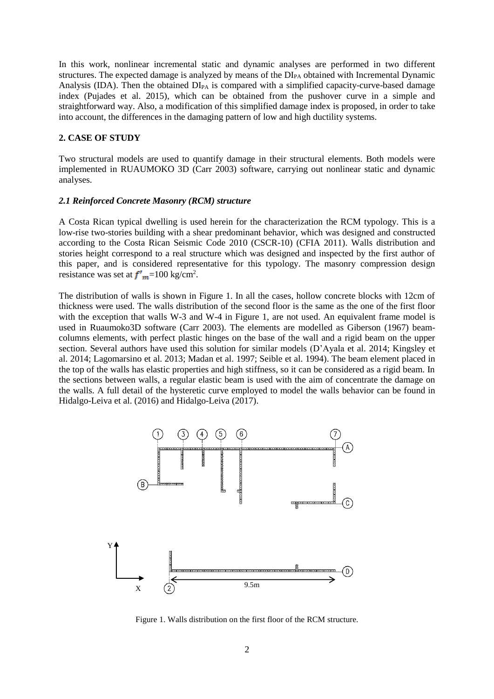In this work, nonlinear incremental static and dynamic analyses are performed in two different structures. The expected damage is analyzed by means of the DI<sub>PA</sub> obtained with Incremental Dynamic Analysis (IDA). Then the obtained  $DI_{PA}$  is compared with a simplified capacity-curve-based damage index (Pujades et al. 2015), which can be obtained from the pushover curve in a simple and straightforward way. Also, a modification of this simplified damage index is proposed, in order to take into account, the differences in the damaging pattern of low and high ductility systems.

#### **2. CASE OF STUDY**

Two structural models are used to quantify damage in their structural elements. Both models were implemented in RUAUMOKO 3D (Carr 2003) software, carrying out nonlinear static and dynamic analyses.

#### *2.1 Reinforced Concrete Masonry (RCM) structure*

A Costa Rican typical dwelling is used herein for the characterization the RCM typology. This is a low-rise two-stories building with a shear predominant behavior, which was designed and constructed according to the Costa Rican Seismic Code 2010 (CSCR-10) (CFIA 2011). Walls distribution and stories height correspond to a real structure which was designed and inspected by the first author of this paper, and is considered representative for this typology. The masonry compression design resistance was set at  $f'_{m}$ =100 kg/cm<sup>2</sup>.

The distribution of walls is shown in Figure 1. In all the cases, hollow concrete blocks with 12cm of thickness were used. The walls distribution of the second floor is the same as the one of the first floor with the exception that walls W-3 and W-4 in Figure 1, are not used. An equivalent frame model is used in Ruaumoko3D software (Carr 2003). The elements are modelled as Giberson (1967) beamcolumns elements, with perfect plastic hinges on the base of the wall and a rigid beam on the upper section. Several authors have used this solution for similar models (D'Ayala et al. 2014; Kingsley et al. 2014; Lagomarsino et al. 2013; Madan et al. 1997; Seible et al. 1994). The beam element placed in the top of the walls has elastic properties and high stiffness, so it can be considered as a rigid beam. In the sections between walls, a regular elastic beam is used with the aim of concentrate the damage on the walls. A full detail of the hysteretic curve employed to model the walls behavior can be found in Hidalgo-Leiva et al. (2016) and Hidalgo-Leiva (2017).



Figure 1. Walls distribution on the first floor of the RCM structure.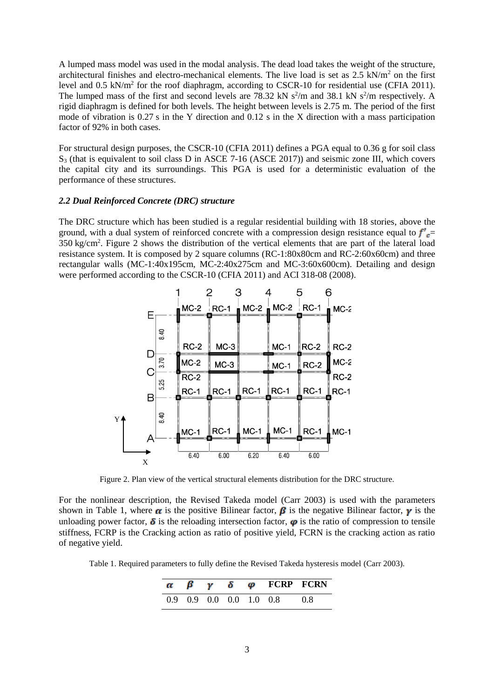A lumped mass model was used in the modal analysis. The dead load takes the weight of the structure, architectural finishes and electro-mechanical elements. The live load is set as  $2.5 \text{ kN/m}^2$  on the first level and  $0.5 \text{ kN/m}^2$  for the roof diaphragm, according to CSCR-10 for residential use (CFIA 2011). The lumped mass of the first and second levels are 78.32 kN  $s^2/m$  and 38.1 kN  $s^2/m$  respectively. A rigid diaphragm is defined for both levels. The height between levels is 2.75 m. The period of the first mode of vibration is 0.27 s in the Y direction and 0.12 s in the X direction with a mass participation factor of 92% in both cases.

For structural design purposes, the CSCR-10 (CFIA 2011) defines a PGA equal to 0.36 g for soil class S<sub>3</sub> (that is equivalent to soil class D in ASCE 7-16 (ASCE 2017)) and seismic zone III, which covers the capital city and its surroundings. This PGA is used for a deterministic evaluation of the performance of these structures.

#### *2.2 Dual Reinforced Concrete (DRC) structure*

The DRC structure which has been studied is a regular residential building with 18 stories, above the ground, with a dual system of reinforced concrete with a compression design resistance equal to  $f'$ <sub> $=$ </sub> 350 kg/cm<sup>2</sup> . Figure 2 shows the distribution of the vertical elements that are part of the lateral load resistance system. It is composed by 2 square columns (RC-1:80x80cm and RC-2:60x60cm) and three rectangular walls (MC-1:40x195cm, MC-2:40x275cm and MC-3:60x600cm). Detailing and design were performed according to the CSCR-10 (CFIA 2011) and ACI 318-08 (2008).



Figure 2. Plan view of the vertical structural elements distribution for the DRC structure.

For the nonlinear description, the Revised Takeda model (Carr 2003) is used with the parameters shown in Table 1, where  $\alpha$  is the positive Bilinear factor,  $\beta$  is the negative Bilinear factor,  $\gamma$  is the unloading power factor,  $\delta$  is the reloading intersection factor,  $\varphi$  is the ratio of compression to tensile stiffness, FCRP is the Cracking action as ratio of positive yield, FCRN is the cracking action as ratio of negative yield.

Table 1. Required parameters to fully define the Revised Takeda hysteresis model (Carr 2003).

|  |  | $\alpha$ $\beta$ $\gamma$ $\delta$ $\varphi$ FCRP FCRN |  |
|--|--|--------------------------------------------------------|--|
|  |  | $0.9$ $0.9$ $0.0$ $0.0$ $1.0$ $0.8$ $0.8$              |  |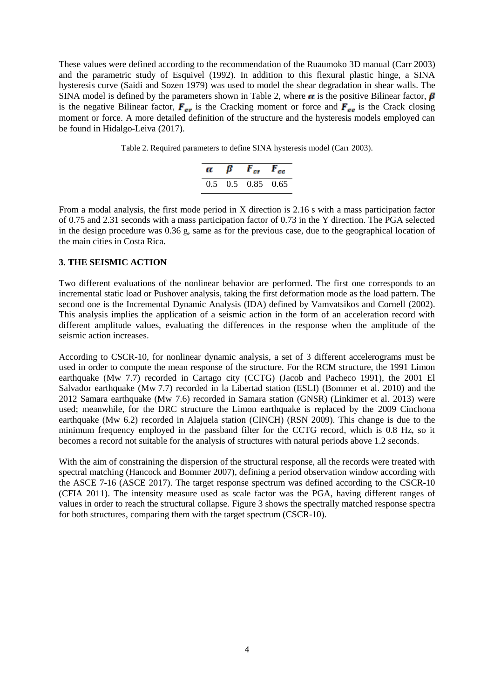These values were defined according to the recommendation of the Ruaumoko 3D manual (Carr 2003) and the parametric study of Esquivel (1992). In addition to this flexural plastic hinge, a SINA hysteresis curve (Saidi and Sozen 1979) was used to model the shear degradation in shear walls. The SINA model is defined by the parameters shown in Table 2, where  $\alpha$  is the positive Bilinear factor,  $\beta$ is the negative Bilinear factor,  $\vec{F}_{cr}$  is the Cracking moment or force and  $\vec{F}_{cr}$  is the Crack closing moment or force. A more detailed definition of the structure and the hysteresis models employed can be found in Hidalgo-Leiva (2017).

Table 2. Required parameters to define SINA hysteresis model (Carr 2003).

| α | $\beta$ $F_{cr}$ $F_{cc}$             |  |
|---|---------------------------------------|--|
|   | $0.5 \quad 0.5 \quad 0.85 \quad 0.65$ |  |

From a modal analysis, the first mode period in X direction is 2.16 s with a mass participation factor of 0.75 and 2.31 seconds with a mass participation factor of 0.73 in the Y direction. The PGA selected in the design procedure was 0.36 g, same as for the previous case, due to the geographical location of the main cities in Costa Rica.

## **3. THE SEISMIC ACTION**

Two different evaluations of the nonlinear behavior are performed. The first one corresponds to an incremental static load or Pushover analysis, taking the first deformation mode as the load pattern. The second one is the Incremental Dynamic Analysis (IDA) defined by Vamvatsikos and Cornell (2002). This analysis implies the application of a seismic action in the form of an acceleration record with different amplitude values, evaluating the differences in the response when the amplitude of the seismic action increases.

According to CSCR-10, for nonlinear dynamic analysis, a set of 3 different accelerograms must be used in order to compute the mean response of the structure. For the RCM structure, the 1991 Limon earthquake (Mw 7.7) recorded in Cartago city (CCTG) (Jacob and Pacheco 1991), the 2001 El Salvador earthquake (Mw 7.7) recorded in la Libertad station (ESLI) (Bommer et al. 2010) and the 2012 Samara earthquake (Mw 7.6) recorded in Samara station (GNSR) (Linkimer et al. 2013) were used; meanwhile, for the DRC structure the Limon earthquake is replaced by the 2009 Cinchona earthquake (Mw 6.2) recorded in Alajuela station (CINCH) (RSN 2009). This change is due to the minimum frequency employed in the passband filter for the CCTG record, which is 0.8 Hz, so it becomes a record not suitable for the analysis of structures with natural periods above 1.2 seconds.

With the aim of constraining the dispersion of the structural response, all the records were treated with spectral matching (Hancock and Bommer 2007), defining a period observation window according with the ASCE 7-16 (ASCE 2017). The target response spectrum was defined according to the CSCR-10 (CFIA 2011). The intensity measure used as scale factor was the PGA, having different ranges of values in order to reach the structural collapse. Figure 3 shows the spectrally matched response spectra for both structures, comparing them with the target spectrum (CSCR-10).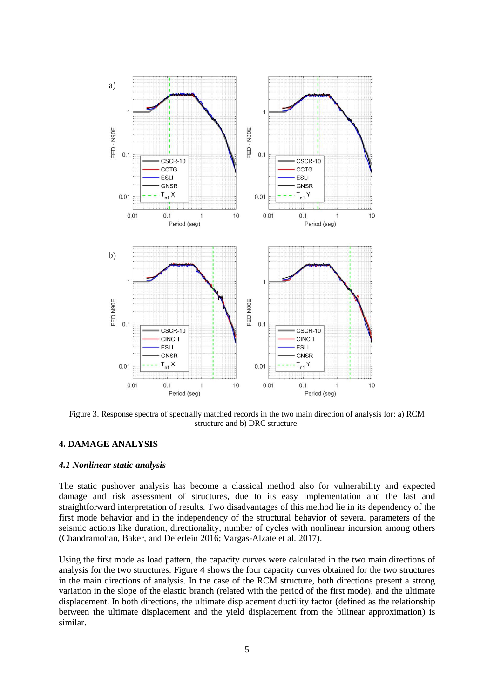

Figure 3. Response spectra of spectrally matched records in the two main direction of analysis for: a) RCM structure and b) DRC structure.

# **4. DAMAGE ANALYSIS**

## *4.1 Nonlinear static analysis*

The static pushover analysis has become a classical method also for vulnerability and expected damage and risk assessment of structures, due to its easy implementation and the fast and straightforward interpretation of results. Two disadvantages of this method lie in its dependency of the first mode behavior and in the independency of the structural behavior of several parameters of the seismic actions like duration, directionality, number of cycles with nonlinear incursion among others (Chandramohan, Baker, and Deierlein 2016; Vargas-Alzate et al. 2017).

Using the first mode as load pattern, the capacity curves were calculated in the two main directions of analysis for the two structures. Figure 4 shows the four capacity curves obtained for the two structures in the main directions of analysis. In the case of the RCM structure, both directions present a strong variation in the slope of the elastic branch (related with the period of the first mode), and the ultimate displacement. In both directions, the ultimate displacement ductility factor (defined as the relationship between the ultimate displacement and the yield displacement from the bilinear approximation) is similar.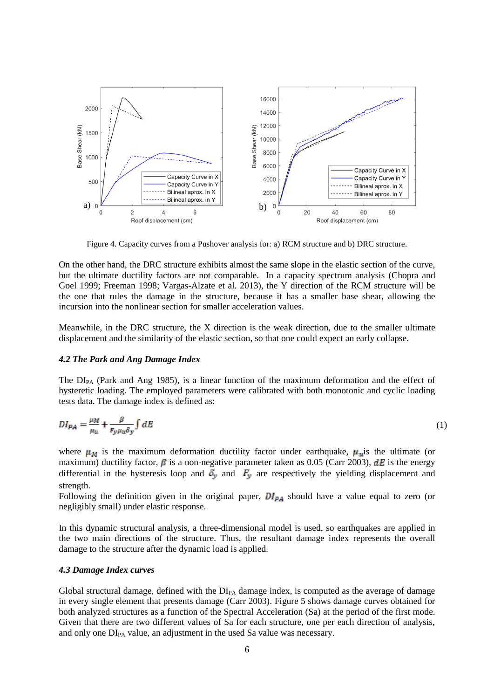

Figure 4. Capacity curves from a Pushover analysis for: a) RCM structure and b) DRC structure.

On the other hand, the DRC structure exhibits almost the same slope in the elastic section of the curve, but the ultimate ductility factors are not comparable. In a capacity spectrum analysis (Chopra and Goel 1999; Freeman 1998; Vargas-Alzate et al. 2013), the Y direction of the RCM structure will be the one that rules the damage in the structure, because it has a smaller base shear, allowing the incursion into the nonlinear section for smaller acceleration values.

Meanwhile, in the DRC structure, the X direction is the weak direction, due to the smaller ultimate displacement and the similarity of the elastic section, so that one could expect an early collapse.

#### *4.2 The Park and Ang Damage Index*

The  $DI_{PA}$  (Park and Ang 1985), is a linear function of the maximum deformation and the effect of hysteretic loading. The employed parameters were calibrated with both monotonic and cyclic loading tests data. The damage index is defined as:

$$
DI_{PA} = \frac{\mu_M}{\mu_u} + \frac{\beta}{F_y \mu_u \delta_y} \int dE \tag{1}
$$

where  $\mu_M$  is the maximum deformation ductility factor under earthquake,  $\mu_u$  is the ultimate (or maximum) ductility factor,  $\beta$  is a non-negative parameter taken as 0.05 (Carr 2003),  $dE$  is the energy differential in the hysteresis loop and  $\delta_y$  and  $F_y$  are respectively the yielding displacement and strength.

Following the definition given in the original paper,  $DI_{PA}$  should have a value equal to zero (or negligibly small) under elastic response.

In this dynamic structural analysis, a three-dimensional model is used, so earthquakes are applied in the two main directions of the structure. Thus, the resultant damage index represents the overall damage to the structure after the dynamic load is applied.

#### *4.3 Damage Index curves*

Global structural damage, defined with the  $DI_{PA}$  damage index, is computed as the average of damage in every single element that presents damage (Carr 2003). Figure 5 shows damage curves obtained for both analyzed structures as a function of the Spectral Acceleration (Sa) at the period of the first mode. Given that there are two different values of Sa for each structure, one per each direction of analysis, and only one  $DI_{PA}$  value, an adjustment in the used Sa value was necessary.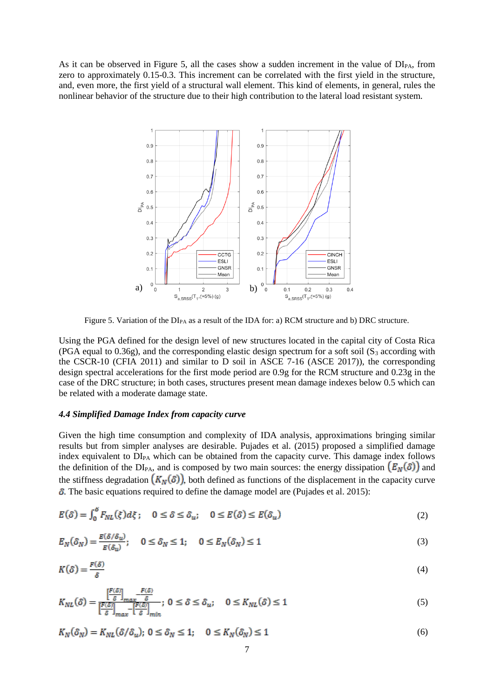As it can be observed in Figure 5, all the cases show a sudden increment in the value of  $DI_{PA}$ , from zero to approximately 0.15-0.3. This increment can be correlated with the first yield in the structure, and, even more, the first yield of a structural wall element. This kind of elements, in general, rules the nonlinear behavior of the structure due to their high contribution to the lateral load resistant system.



Figure 5. Variation of the  $DI_{PA}$  as a result of the IDA for: a) RCM structure and b) DRC structure.

Using the PGA defined for the design level of new structures located in the capital city of Costa Rica (PGA equal to 0.36g), and the corresponding elastic design spectrum for a soft soil ( $S_3$  according with the CSCR-10 (CFIA 2011) and similar to D soil in ASCE 7-16 (ASCE 2017)), the corresponding design spectral accelerations for the first mode period are 0.9g for the RCM structure and 0.23g in the case of the DRC structure; in both cases, structures present mean damage indexes below 0.5 which can be related with a moderate damage state.

#### *4.4 Simplified Damage Index from capacity curve*

Given the high time consumption and complexity of IDA analysis, approximations bringing similar results but from simpler analyses are desirable. Pujades et al. (2015) proposed a simplified damage index equivalent to DI<sub>PA</sub> which can be obtained from the capacity curve. This damage index follows the definition of the DI<sub>PA</sub>, and is composed by two main sources: the energy dissipation  $(E_N(\delta))$  and the stiffness degradation  $(K_N(\delta))$ , both defined as functions of the displacement in the capacity curve  $\delta$ . The basic equations required to define the damage model are (Pujades et al. 2015):

$$
E(\delta) = \int_0^{\delta} F_{NL}(\xi) d\xi; \quad 0 \le \delta \le \delta_u; \quad 0 \le E(\delta) \le E(\delta_u)
$$
 (2)

$$
E_N(\delta_N) = \frac{E(\delta/\delta_u)}{E(\delta_u)}; \quad 0 \le \delta_N \le 1; \quad 0 \le E_N(\delta_N) \le 1
$$
\n(3)

$$
K(\delta) = \frac{F(\delta)}{\delta} \tag{4}
$$

$$
K_{NL}(\delta) = \frac{\left[\frac{F(\delta)}{\delta}\right]_{max} - \frac{F(\delta)}{\delta}}{\left[\frac{F(\delta)}{\delta}\right]_{max} - \left[\frac{F(\delta)}{\delta}\right]_{min}}; 0 \le \delta \le \delta_u; \quad 0 \le K_{NL}(\delta) \le 1
$$
\n
$$
(5)
$$

$$
K_N(\delta_N) = K_{NL}(\delta/\delta_u); \ 0 \le \delta_N \le 1; \quad 0 \le K_N(\delta_N) \le 1 \tag{6}
$$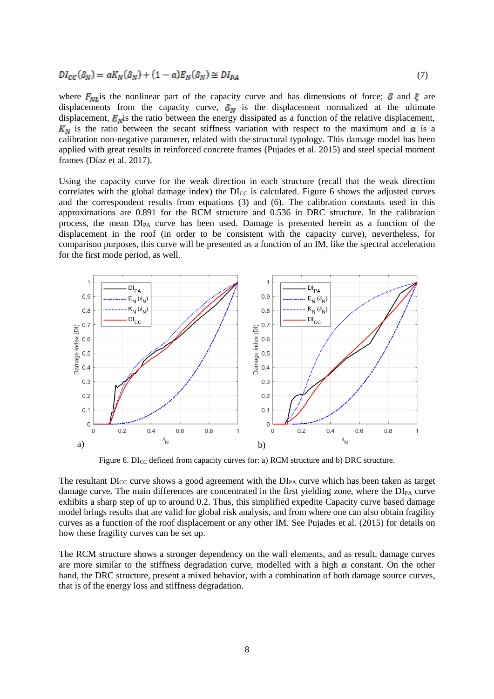$$
DI_{CC}(\delta_N) = aK_N(\delta_N) + (1 - a)E_N(\delta_N) \cong DI_{PA}
$$
\n<sup>(7)</sup>

where  $F_{NL}$  is the nonlinear part of the capacity curve and has dimensions of force;  $\delta$  and  $\xi$  are displacements from the capacity curve,  $\delta_N$  is the displacement normalized at the ultimate displacement,  $\vec{E}_{\text{N}}$  is the ratio between the energy dissipated as a function of the relative displacement,  $K_N$  is the ratio between the secant stiffness variation with respect to the maximum and  $\alpha$  is a calibration non-negative parameter, related with the structural typology. This damage model has been applied with great results in reinforced concrete frames (Pujades et al. 2015) and steel special moment frames (Díaz et al. 2017).

Using the capacity curve for the weak direction in each structure (recall that the weak direction correlates with the global damage index) the  $DI_{CC}$  is calculated. Figure 6 shows the adjusted curves and the correspondent results from equations (3) and (6). The calibration constants used in this approximations are 0.891 for the RCM structure and 0.536 in DRC structure. In the calibration process, the mean DIPA curve has been used. Damage is presented herein as a function of the displacement in the roof (in order to be consistent with the capacity curve), nevertheless, for comparison purposes, this curve will be presented as a function of an IM, like the spectral acceleration for the first mode period, as well.



Figure 6. DI<sub>CC</sub> defined from capacity curves for: a) RCM structure and b) DRC structure.

The resultant  $DI_{CC}$  curve shows a good agreement with the  $DI_{PA}$  curve which has been taken as target damage curve. The main differences are concentrated in the first yielding zone, where the  $DI_{PA}$  curve exhibits a sharp step of up to around 0.2. Thus, this simplified expedite Capacity curve based damage model brings results that are valid for global risk analysis, and from where one can also obtain fragility curves as a function of the roof displacement or any other IM. See Pujades et al. (2015) for details on how these fragility curves can be set up.

The RCM structure shows a stronger dependency on the wall elements, and as result, damage curves are more similar to the stiffness degradation curve, modelled with a high  $\alpha$  constant. On the other hand, the DRC structure, present a mixed behavior, with a combination of both damage source curves, that is of the energy loss and stiffness degradation.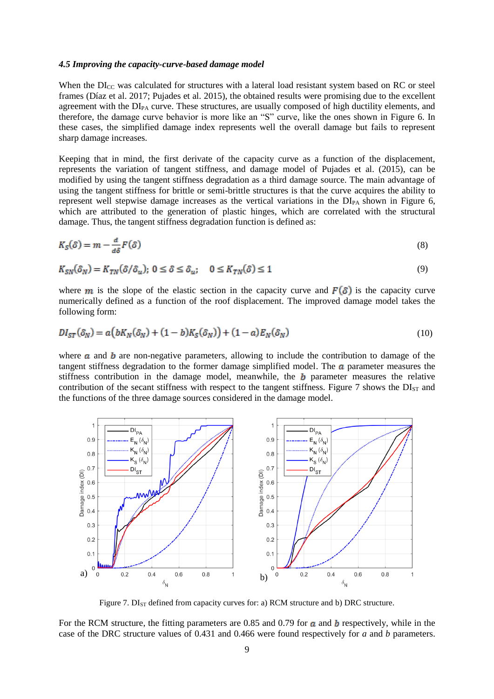#### *4.5 Improving the capacity-curve-based damage model*

When the DI<sub>CC</sub> was calculated for structures with a lateral load resistant system based on RC or steel frames (Díaz et al. 2017; Pujades et al. 2015), the obtained results were promising due to the excellent agreement with the  $DI_{PA}$  curve. These structures, are usually composed of high ductility elements, and therefore, the damage curve behavior is more like an "S" curve, like the ones shown in Figure 6. In these cases, the simplified damage index represents well the overall damage but fails to represent sharp damage increases.

Keeping that in mind, the first derivate of the capacity curve as a function of the displacement, represents the variation of tangent stiffness, and damage model of Pujades et al. (2015), can be modified by using the tangent stiffness degradation as a third damage source. The main advantage of using the tangent stiffness for brittle or semi-brittle structures is that the curve acquires the ability to represent well stepwise damage increases as the vertical variations in the  $DI_{PA}$  shown in Figure 6, which are attributed to the generation of plastic hinges, which are correlated with the structural damage. Thus, the tangent stiffness degradation function is defined as:

$$
K_S(\delta) = m - \frac{d}{d\delta} F(\delta) \tag{8}
$$

$$
K_{SN}(\delta_N) = K_{TN}(\delta/\delta_u); \ 0 \le \delta \le \delta_u; \quad 0 \le K_{TN}(\delta) \le 1
$$
\n<sup>(9)</sup>

where **m** is the slope of the elastic section in the capacity curve and  $F(\delta)$  is the capacity curve numerically defined as a function of the roof displacement. The improved damage model takes the following form:

$$
DI_{ST}(\delta_N) = a\big(bK_N(\delta_N) + (1-b)K_S(\delta_N)\big) + (1-a)E_N(\delta_N)
$$
\n<sup>(10)</sup>

where  $\boldsymbol{a}$  and  $\boldsymbol{b}$  are non-negative parameters, allowing to include the contribution to damage of the tangent stiffness degradation to the former damage simplified model. The  $\alpha$  parameter measures the stiffness contribution in the damage model, meanwhile, the  **parameter measures the relative** contribution of the secant stiffness with respect to the tangent stiffness. Figure 7 shows the  $DI<sub>ST</sub>$  and the functions of the three damage sources considered in the damage model.



Figure 7.  $DI_{ST}$  defined from capacity curves for: a) RCM structure and b) DRC structure.

For the RCM structure, the fitting parameters are 0.85 and 0.79 for  $\alpha$  and  $\beta$  respectively, while in the case of the DRC structure values of 0.431 and 0.466 were found respectively for *a* and *b* parameters.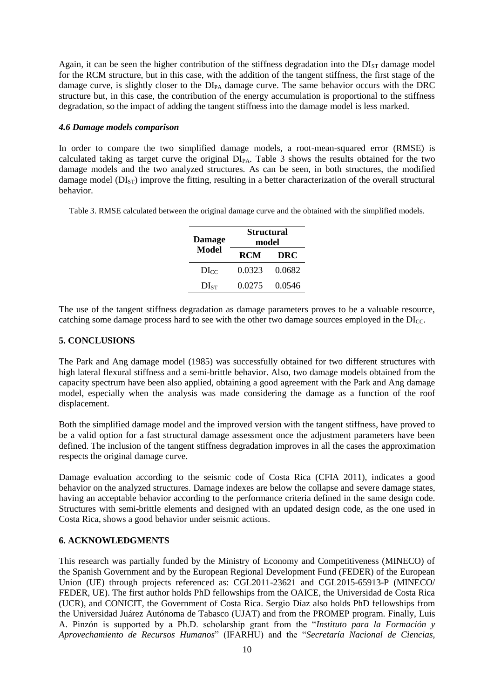Again, it can be seen the higher contribution of the stiffness degradation into the  $DI_{ST}$  damage model for the RCM structure, but in this case, with the addition of the tangent stiffness, the first stage of the damage curve, is slightly closer to the DI<sub>PA</sub> damage curve. The same behavior occurs with the DRC structure but, in this case, the contribution of the energy accumulation is proportional to the stiffness degradation, so the impact of adding the tangent stiffness into the damage model is less marked.

## *4.6 Damage models comparison*

In order to compare the two simplified damage models, a root-mean-squared error (RMSE) is calculated taking as target curve the original  $DI_{PA}$ . Table 3 shows the results obtained for the two damage models and the two analyzed structures. As can be seen, in both structures, the modified damage model  $(DI<sub>ST</sub>)$  improve the fitting, resulting in a better characterization of the overall structural behavior.

Table 3. RMSE calculated between the original damage curve and the obtained with the simplified models.

| <b>Damage</b> | <b>Structural</b><br>model |        |  |
|---------------|----------------------------|--------|--|
| Model         | <b>RCM</b>                 | DRC    |  |
| $\rm DI_{CC}$ | 0.0323                     | 0.0682 |  |
| $DI_{ST}$     | 0.0275                     | 0.0546 |  |

The use of the tangent stiffness degradation as damage parameters proves to be a valuable resource, catching some damage process hard to see with the other two damage sources employed in the  $DI_{CC}$ .

# **5. CONCLUSIONS**

The Park and Ang damage model (1985) was successfully obtained for two different structures with high lateral flexural stiffness and a semi-brittle behavior. Also, two damage models obtained from the capacity spectrum have been also applied, obtaining a good agreement with the Park and Ang damage model, especially when the analysis was made considering the damage as a function of the roof displacement.

Both the simplified damage model and the improved version with the tangent stiffness, have proved to be a valid option for a fast structural damage assessment once the adjustment parameters have been defined. The inclusion of the tangent stiffness degradation improves in all the cases the approximation respects the original damage curve.

Damage evaluation according to the seismic code of Costa Rica (CFIA 2011), indicates a good behavior on the analyzed structures. Damage indexes are below the collapse and severe damage states, having an acceptable behavior according to the performance criteria defined in the same design code. Structures with semi-brittle elements and designed with an updated design code, as the one used in Costa Rica, shows a good behavior under seismic actions.

# **6. ACKNOWLEDGMENTS**

This research was partially funded by the Ministry of Economy and Competitiveness (MINECO) of the Spanish Government and by the European Regional Development Fund (FEDER) of the European Union (UE) through projects referenced as: CGL2011-23621 and CGL2015-65913-P (MINECO/ FEDER, UE). The first author holds PhD fellowships from the OAICE, the Universidad de Costa Rica (UCR), and CONICIT, the Government of Costa Rica. Sergio Díaz also holds PhD fellowships from the Universidad Juárez Autónoma de Tabasco (UJAT) and from the PROMEP program. Finally, Luis A. Pinzón is supported by a Ph.D. scholarship grant from the "*Instituto para la Formación y Aprovechamiento de Recursos Humanos*" (IFARHU) and the "*Secretaría Nacional de Ciencias,*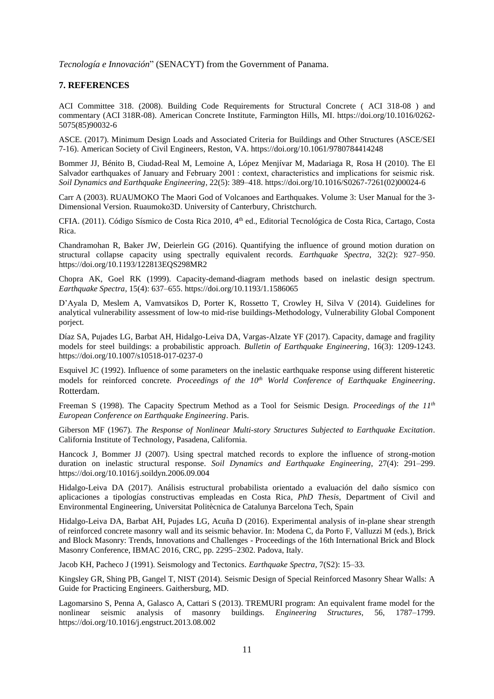*Tecnología e Innovación*" (SENACYT) from the Government of Panama.

## **7. REFERENCES**

ACI Committee 318. (2008). Building Code Requirements for Structural Concrete ( ACI 318-08 ) and commentary (ACI 318R-08). American Concrete Institute, Farmington Hills, MI. https://doi.org/10.1016/0262- 5075(85)90032-6

ASCE. (2017). Minimum Design Loads and Associated Criteria for Buildings and Other Structures (ASCE/SEI 7-16). American Society of Civil Engineers, Reston, VA. https://doi.org/10.1061/9780784414248

Bommer JJ, Bénito B, Ciudad-Real M, Lemoine A, López Menjívar M, Madariaga R, Rosa H (2010). The El Salvador earthquakes of January and February 2001 : context, characteristics and implications for seismic risk. *Soil Dynamics and Earthquake Engineering*, 22(5): 389–418. https://doi.org/10.1016/S0267-7261(02)00024-6

Carr A (2003). RUAUMOKO The Maori God of Volcanoes and Earthquakes. Volume 3: User Manual for the 3- Dimensional Version. Ruaumoko3D. University of Canterbury, Christchurch.

CFIA. (2011). Código Sísmico de Costa Rica 2010, 4<sup>th</sup> ed., Editorial Tecnológica de Costa Rica, Cartago, Costa Rica.

Chandramohan R, Baker JW, Deierlein GG (2016). Quantifying the influence of ground motion duration on structural collapse capacity using spectrally equivalent records. *Earthquake Spectra*, 32(2): 927–950. https://doi.org/10.1193/122813EQS298MR2

Chopra AK, Goel RK (1999). Capacity-demand-diagram methods based on inelastic design spectrum. *Earthquake Spectra*, 15(4): 637–655. https://doi.org/10.1193/1.1586065

D'Ayala D, Meslem A, Vamvatsikos D, Porter K, Rossetto T, Crowley H, Silva V (2014). Guidelines for analytical vulnerability assessment of low-to mid-rise buildings-Methodology, Vulnerability Global Component porject.

Díaz SA, Pujades LG, Barbat AH, Hidalgo-Leiva DA, Vargas-Alzate YF (2017). Capacity, damage and fragility models for steel buildings: a probabilistic approach. *Bulletin of Earthquake Engineering*, 16(3): 1209-1243. https://doi.org/10.1007/s10518-017-0237-0

Esquivel JC (1992). Influence of some parameters on the inelastic earthquake response using different histeretic models for reinforced concrete. *Proceedings of the 10th World Conference of Earthquake Engineering*. Rotterdam.

Freeman S (1998). The Capacity Spectrum Method as a Tool for Seismic Design. *Proceedings of the 11th European Conference on Earthquake Engineering*. Paris.

Giberson MF (1967). *The Response of Nonlinear Multi-story Structures Subjected to Earthquake Excitation*. California Institute of Technology, Pasadena, California.

Hancock J, Bommer JJ (2007). Using spectral matched records to explore the influence of strong-motion duration on inelastic structural response. *Soil Dynamics and Earthquake Engineering*, 27(4): 291–299. https://doi.org/10.1016/j.soildyn.2006.09.004

Hidalgo-Leiva DA (2017). Análisis estructural probabilista orientado a evaluación del daño sísmico con aplicaciones a tipologías constructivas empleadas en Costa Rica, *PhD Thesis,* Department of Civil and Environmental Engineering, Universitat Politècnica de Catalunya Barcelona Tech, Spain

Hidalgo-Leiva DA, Barbat AH, Pujades LG, Acuña D (2016). Experimental analysis of in-plane shear strength of reinforced concrete masonry wall and its seismic behavior. In: Modena C, da Porto F, Valluzzi M (eds.), Brick and Block Masonry: Trends, Innovations and Challenges - Proceedings of the 16th International Brick and Block Masonry Conference, IBMAC 2016, CRC, pp. 2295–2302. Padova, Italy.

Jacob KH, Pacheco J (1991). Seismology and Tectonics. *Earthquake Spectra*, 7(S2): 15–33.

Kingsley GR, Shing PB, Gangel T, NIST (2014). Seismic Design of Special Reinforced Masonry Shear Walls: A Guide for Practicing Engineers. Gaithersburg, MD.

Lagomarsino S, Penna A, Galasco A, Cattari S (2013). TREMURI program: An equivalent frame model for the nonlinear seismic analysis of masonry buildings. *Engineering Structures*, 56, 1787–1799. https://doi.org/10.1016/j.engstruct.2013.08.002